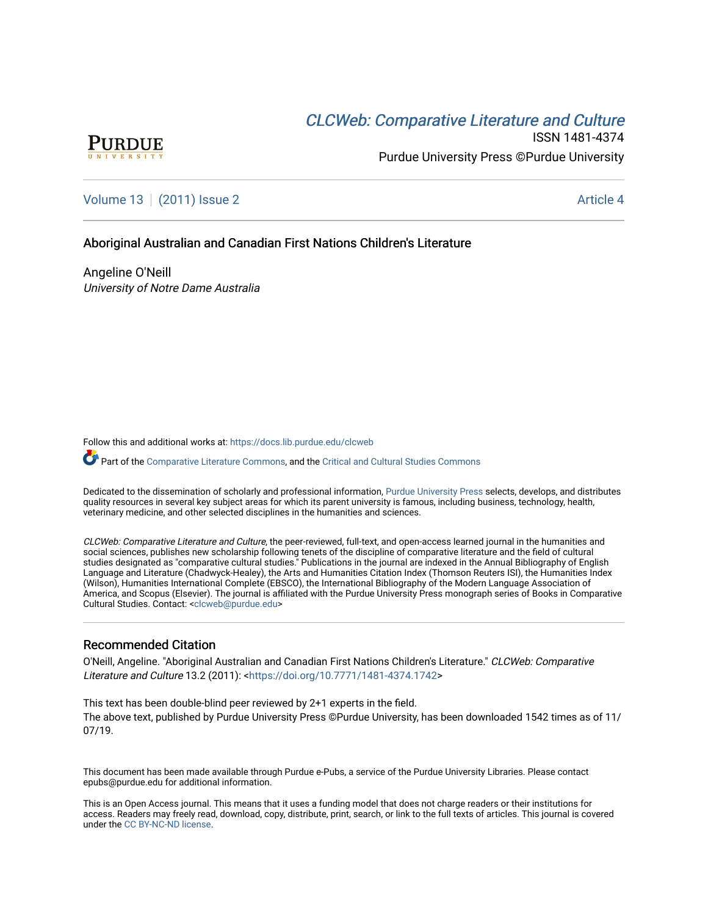# CLCW[eb: Comparative Liter](https://docs.lib.purdue.edu/clcweb)ature and Culture



ISSN 1481-4374 Purdue University Press ©Purdue University

## [Volume 13](https://docs.lib.purdue.edu/clcweb/vol13) | [\(2011\) Issue 2](https://docs.lib.purdue.edu/clcweb/vol13/iss2) Article 4

### Aboriginal Australian and Canadian First Nations Children's Literature

Angeline O'Neill University of Notre Dame Australia

Follow this and additional works at: [https://docs.lib.purdue.edu/clcweb](https://docs.lib.purdue.edu/clcweb?utm_source=docs.lib.purdue.edu%2Fclcweb%2Fvol13%2Fiss2%2F4&utm_medium=PDF&utm_campaign=PDFCoverPages)

Part of the [Comparative Literature Commons,](http://network.bepress.com/hgg/discipline/454?utm_source=docs.lib.purdue.edu%2Fclcweb%2Fvol13%2Fiss2%2F4&utm_medium=PDF&utm_campaign=PDFCoverPages) and the Critical and Cultural Studies Commons

Dedicated to the dissemination of scholarly and professional information, [Purdue University Press](http://www.thepress.purdue.edu/) selects, develops, and distributes quality resources in several key subject areas for which its parent university is famous, including business, technology, health, veterinary medicine, and other selected disciplines in the humanities and sciences.

CLCWeb: Comparative Literature and Culture, the peer-reviewed, full-text, and open-access learned journal in the humanities and social sciences, publishes new scholarship following tenets of the discipline of comparative literature and the field of cultural studies designated as "comparative cultural studies." Publications in the journal are indexed in the Annual Bibliography of English Language and Literature (Chadwyck-Healey), the Arts and Humanities Citation Index (Thomson Reuters ISI), the Humanities Index (Wilson), Humanities International Complete (EBSCO), the International Bibliography of the Modern Language Association of America, and Scopus (Elsevier). The journal is affiliated with the Purdue University Press monograph series of Books in Comparative Cultural Studies. Contact: [<clcweb@purdue.edu](mailto:clcweb@purdue.edu)>

### Recommended Citation

O'Neill, Angeline. "Aboriginal Australian and Canadian First Nations Children's Literature." CLCWeb: Comparative Literature and Culture 13.2 (2011): <<https://doi.org/10.7771/1481-4374.1742>>

This text has been double-blind peer reviewed by 2+1 experts in the field. The above text, published by Purdue University Press ©Purdue University, has been downloaded 1542 times as of 11/ 07/19.

This document has been made available through Purdue e-Pubs, a service of the Purdue University Libraries. Please contact epubs@purdue.edu for additional information.

This is an Open Access journal. This means that it uses a funding model that does not charge readers or their institutions for access. Readers may freely read, download, copy, distribute, print, search, or link to the full texts of articles. This journal is covered under the [CC BY-NC-ND license.](https://creativecommons.org/licenses/by-nc-nd/4.0/)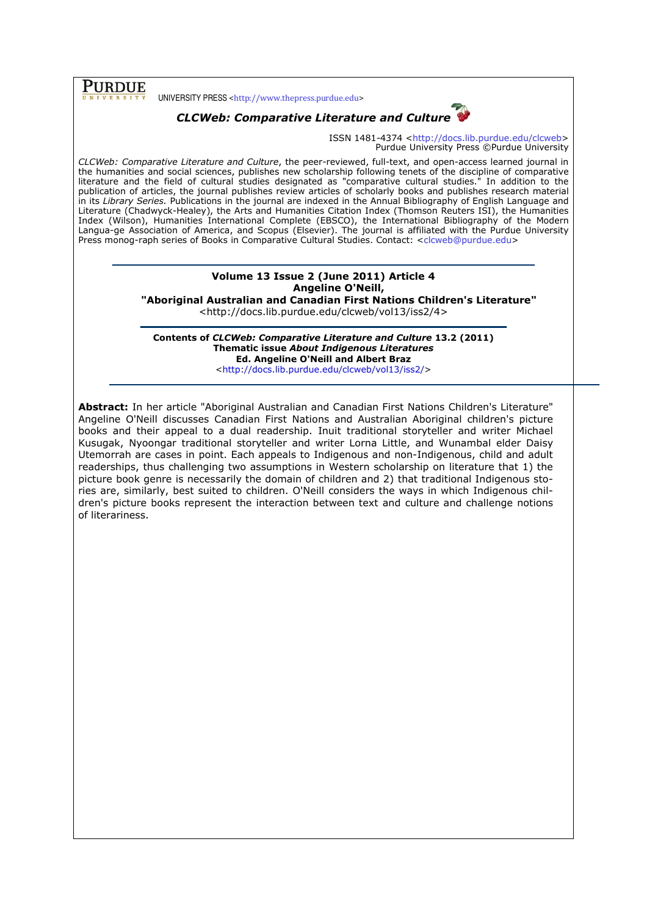# PURDUE

UNIVERSITY PRESS <http://www.thepress.purdue.edu>



ISSN 1481-4374 <http://docs.lib.purdue.edu/clcweb> Purdue University Press ©Purdue University

CLCWeb: Comparative Literature and Culture, the peer-reviewed, full-text, and open-access learned journal in the humanities and social sciences, publishes new scholarship following tenets of the discipline of comparative literature and the field of cultural studies designated as "comparative cultural studies." In addition to the publication of articles, the journal publishes review articles of scholarly books and publishes research material in its Library Series. Publications in the journal are indexed in the Annual Bibliography of English Language and Literature (Chadwyck-Healey), the Arts and Humanities Citation Index (Thomson Reuters ISI), the Humanities Index (Wilson), Humanities International Complete (EBSCO), the International Bibliography of the Modern Langua-ge Association of America, and Scopus (Elsevier). The journal is affiliated with the Purdue University Press monog-raph series of Books in Comparative Cultural Studies. Contact: <clcweb@purdue.edu>

## Volume 13 Issue 2 (June 2011) Article 4 Angeline O'Neill,

"Aboriginal Australian and Canadian First Nations Children's Literature"

<http://docs.lib.purdue.edu/clcweb/vol13/iss2/4>

Contents of CLCWeb: Comparative Literature and Culture 13.2 (2011) Thematic issue About Indigenous Literatures Ed. Angeline O'Neill and Albert Braz <http://docs.lib.purdue.edu/clcweb/vol13/iss2/>

Abstract: In her article "Aboriginal Australian and Canadian First Nations Children's Literature" Angeline O'Neill discusses Canadian First Nations and Australian Aboriginal children's picture books and their appeal to a dual readership. Inuit traditional storyteller and writer Michael Kusugak, Nyoongar traditional storyteller and writer Lorna Little, and Wunambal elder Daisy Utemorrah are cases in point. Each appeals to Indigenous and non-Indigenous, child and adult readerships, thus challenging two assumptions in Western scholarship on literature that 1) the picture book genre is necessarily the domain of children and 2) that traditional Indigenous stories are, similarly, best suited to children. O'Neill considers the ways in which Indigenous children's picture books represent the interaction between text and culture and challenge notions of literariness.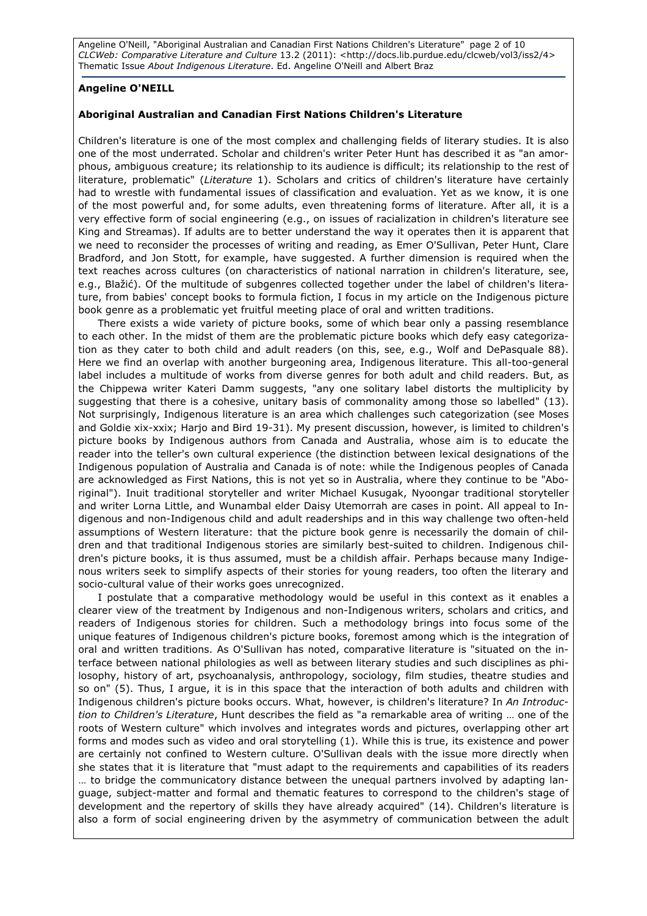Angeline O'Neill, "Aboriginal Australian and Canadian First Nations Children's Literature" page 2 of 10 CLCWeb: Comparative Literature and Culture 13.2 (2011): <http://docs.lib.purdue.edu/clcweb/vol3/iss2/4> Thematic Issue About Indigenous Literature. Ed. Angeline O'Neill and Albert Braz

### Angeline O'NEILL

#### Aboriginal Australian and Canadian First Nations Children's Literature

Children's literature is one of the most complex and challenging fields of literary studies. It is also one of the most underrated. Scholar and children's writer Peter Hunt has described it as "an amorphous, ambiguous creature; its relationship to its audience is difficult; its relationship to the rest of literature, problematic" (Literature 1). Scholars and critics of children's literature have certainly had to wrestle with fundamental issues of classification and evaluation. Yet as we know, it is one of the most powerful and, for some adults, even threatening forms of literature. After all, it is a very effective form of social engineering (e.g., on issues of racialization in children's literature see King and Streamas). If adults are to better understand the way it operates then it is apparent that we need to reconsider the processes of writing and reading, as Emer O'Sullivan, Peter Hunt, Clare Bradford, and Jon Stott, for example, have suggested. A further dimension is required when the text reaches across cultures (on characteristics of national narration in children's literature, see, e.g., Blažić). Of the multitude of subgenres collected together under the label of children's literature, from babies' concept books to formula fiction, I focus in my article on the Indigenous picture book genre as a problematic yet fruitful meeting place of oral and written traditions.

There exists a wide variety of picture books, some of which bear only a passing resemblance to each other. In the midst of them are the problematic picture books which defy easy categorization as they cater to both child and adult readers (on this, see, e.g., Wolf and DePasquale 88). Here we find an overlap with another burgeoning area, Indigenous literature. This all-too-general label includes a multitude of works from diverse genres for both adult and child readers. But, as the Chippewa writer Kateri Damm suggests, "any one solitary label distorts the multiplicity by suggesting that there is a cohesive, unitary basis of commonality among those so labelled" (13). Not surprisingly, Indigenous literature is an area which challenges such categorization (see Moses and Goldie xix-xxix; Harjo and Bird 19-31). My present discussion, however, is limited to children's picture books by Indigenous authors from Canada and Australia, whose aim is to educate the reader into the teller's own cultural experience (the distinction between lexical designations of the Indigenous population of Australia and Canada is of note: while the Indigenous peoples of Canada are acknowledged as First Nations, this is not yet so in Australia, where they continue to be "Aboriginal"). Inuit traditional storyteller and writer Michael Kusugak, Nyoongar traditional storyteller and writer Lorna Little, and Wunambal elder Daisy Utemorrah are cases in point. All appeal to Indigenous and non-Indigenous child and adult readerships and in this way challenge two often-held assumptions of Western literature: that the picture book genre is necessarily the domain of children and that traditional Indigenous stories are similarly best-suited to children. Indigenous children's picture books, it is thus assumed, must be a childish affair. Perhaps because many Indigenous writers seek to simplify aspects of their stories for young readers, too often the literary and socio-cultural value of their works goes unrecognized.

I postulate that a comparative methodology would be useful in this context as it enables a clearer view of the treatment by Indigenous and non-Indigenous writers, scholars and critics, and readers of Indigenous stories for children. Such a methodology brings into focus some of the unique features of Indigenous children's picture books, foremost among which is the integration of oral and written traditions. As O'Sullivan has noted, comparative literature is "situated on the interface between national philologies as well as between literary studies and such disciplines as philosophy, history of art, psychoanalysis, anthropology, sociology, film studies, theatre studies and so on" (5). Thus, I argue, it is in this space that the interaction of both adults and children with Indigenous children's picture books occurs. What, however, is children's literature? In An Introduction to Children's Literature, Hunt describes the field as "a remarkable area of writing … one of the roots of Western culture" which involves and integrates words and pictures, overlapping other art forms and modes such as video and oral storytelling (1). While this is true, its existence and power are certainly not confined to Western culture. O'Sullivan deals with the issue more directly when she states that it is literature that "must adapt to the requirements and capabilities of its readers … to bridge the communicatory distance between the unequal partners involved by adapting language, subject-matter and formal and thematic features to correspond to the children's stage of development and the repertory of skills they have already acquired" (14). Children's literature is also a form of social engineering driven by the asymmetry of communication between the adult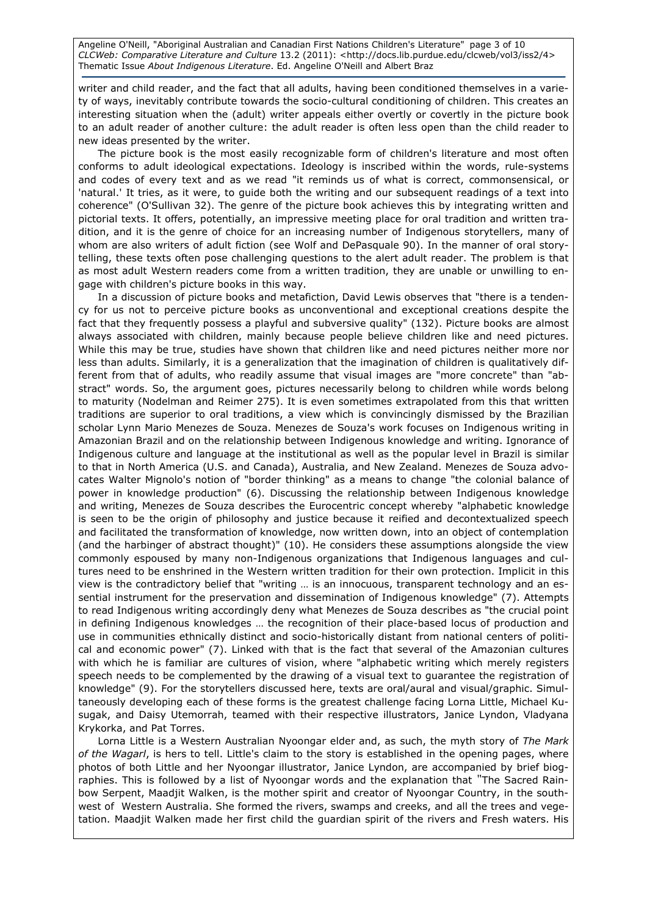Angeline O'Neill, "Aboriginal Australian and Canadian First Nations Children's Literature" page 3 of 10 CLCWeb: Comparative Literature and Culture 13.2 (2011): <http://docs.lib.purdue.edu/clcweb/vol3/iss2/4> Thematic Issue About Indigenous Literature. Ed. Angeline O'Neill and Albert Braz

writer and child reader, and the fact that all adults, having been conditioned themselves in a variety of ways, inevitably contribute towards the socio-cultural conditioning of children. This creates an interesting situation when the (adult) writer appeals either overtly or covertly in the picture book to an adult reader of another culture: the adult reader is often less open than the child reader to new ideas presented by the writer.

The picture book is the most easily recognizable form of children's literature and most often conforms to adult ideological expectations. Ideology is inscribed within the words, rule-systems and codes of every text and as we read "it reminds us of what is correct, commonsensical, or 'natural.' It tries, as it were, to guide both the writing and our subsequent readings of a text into coherence" (O'Sullivan 32). The genre of the picture book achieves this by integrating written and pictorial texts. It offers, potentially, an impressive meeting place for oral tradition and written tradition, and it is the genre of choice for an increasing number of Indigenous storytellers, many of whom are also writers of adult fiction (see Wolf and DePasquale 90). In the manner of oral storytelling, these texts often pose challenging questions to the alert adult reader. The problem is that as most adult Western readers come from a written tradition, they are unable or unwilling to engage with children's picture books in this way.

In a discussion of picture books and metafiction, David Lewis observes that "there is a tendency for us not to perceive picture books as unconventional and exceptional creations despite the fact that they frequently possess a playful and subversive quality" (132). Picture books are almost always associated with children, mainly because people believe children like and need pictures. While this may be true, studies have shown that children like and need pictures neither more nor less than adults. Similarly, it is a generalization that the imagination of children is qualitatively different from that of adults, who readily assume that visual images are "more concrete" than "abstract" words. So, the argument goes, pictures necessarily belong to children while words belong to maturity (Nodelman and Reimer 275). It is even sometimes extrapolated from this that written traditions are superior to oral traditions, a view which is convincingly dismissed by the Brazilian scholar Lynn Mario Menezes de Souza. Menezes de Souza's work focuses on Indigenous writing in Amazonian Brazil and on the relationship between Indigenous knowledge and writing. Ignorance of Indigenous culture and language at the institutional as well as the popular level in Brazil is similar to that in North America (U.S. and Canada), Australia, and New Zealand. Menezes de Souza advocates Walter Mignolo's notion of "border thinking" as a means to change "the colonial balance of power in knowledge production" (6). Discussing the relationship between Indigenous knowledge and writing, Menezes de Souza describes the Eurocentric concept whereby "alphabetic knowledge is seen to be the origin of philosophy and justice because it reified and decontextualized speech and facilitated the transformation of knowledge, now written down, into an object of contemplation (and the harbinger of abstract thought)" (10). He considers these assumptions alongside the view commonly espoused by many non-Indigenous organizations that Indigenous languages and cultures need to be enshrined in the Western written tradition for their own protection. Implicit in this view is the contradictory belief that "writing … is an innocuous, transparent technology and an essential instrument for the preservation and dissemination of Indigenous knowledge" (7). Attempts to read Indigenous writing accordingly deny what Menezes de Souza describes as "the crucial point in defining Indigenous knowledges … the recognition of their place-based locus of production and use in communities ethnically distinct and socio-historically distant from national centers of political and economic power" (7). Linked with that is the fact that several of the Amazonian cultures with which he is familiar are cultures of vision, where "alphabetic writing which merely registers speech needs to be complemented by the drawing of a visual text to guarantee the registration of knowledge" (9). For the storytellers discussed here, texts are oral/aural and visual/graphic. Simultaneously developing each of these forms is the greatest challenge facing Lorna Little, Michael Kusugak, and Daisy Utemorrah, teamed with their respective illustrators, Janice Lyndon, Vladyana Krykorka, and Pat Torres.

Lorna Little is a Western Australian Nyoongar elder and, as such, the myth story of The Mark of the Wagarl, is hers to tell. Little's claim to the story is established in the opening pages, where photos of both Little and her Nyoongar illustrator, Janice Lyndon, are accompanied by brief biographies. This is followed by a list of Nyoongar words and the explanation that "The Sacred Rainbow Serpent, Maadjit Walken, is the mother spirit and creator of Nyoongar Country, in the southwest of Western Australia. She formed the rivers, swamps and creeks, and all the trees and vegetation. Maadjit Walken made her first child the guardian spirit of the rivers and Fresh waters. His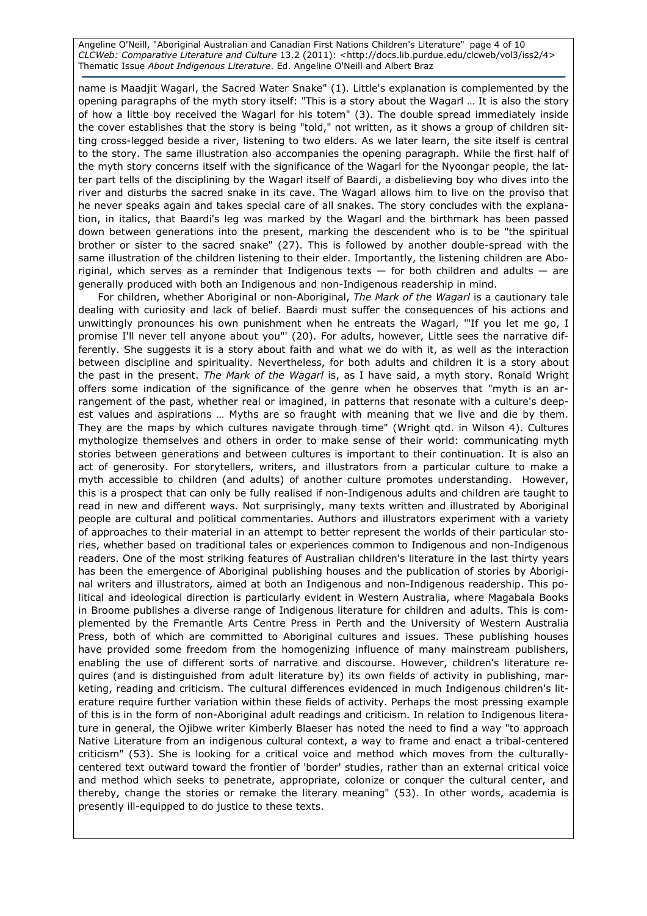Angeline O'Neill, "Aboriginal Australian and Canadian First Nations Children's Literature" page 4 of 10 CLCWeb: Comparative Literature and Culture 13.2 (2011): <http://docs.lib.purdue.edu/clcweb/vol3/iss2/4> Thematic Issue About Indigenous Literature. Ed. Angeline O'Neill and Albert Braz

name is Maadjit Wagarl, the Sacred Water Snake" (1). Little's explanation is complemented by the opening paragraphs of the myth story itself: "This is a story about the Wagarl … It is also the story of how a little boy received the Wagarl for his totem" (3). The double spread immediately inside the cover establishes that the story is being "told," not written, as it shows a group of children sitting cross-legged beside a river, listening to two elders. As we later learn, the site itself is central to the story. The same illustration also accompanies the opening paragraph. While the first half of the myth story concerns itself with the significance of the Wagarl for the Nyoongar people, the latter part tells of the disciplining by the Wagarl itself of Baardi, a disbelieving boy who dives into the river and disturbs the sacred snake in its cave. The Wagarl allows him to live on the proviso that he never speaks again and takes special care of all snakes. The story concludes with the explanation, in italics, that Baardi's leg was marked by the Wagarl and the birthmark has been passed down between generations into the present, marking the descendent who is to be "the spiritual brother or sister to the sacred snake" (27). This is followed by another double-spread with the same illustration of the children listening to their elder. Importantly, the listening children are Aboriginal, which serves as a reminder that Indigenous texts  $-$  for both children and adults  $-$  are generally produced with both an Indigenous and non-Indigenous readership in mind.

For children, whether Aboriginal or non-Aboriginal, The Mark of the Wagarl is a cautionary tale dealing with curiosity and lack of belief. Baardi must suffer the consequences of his actions and unwittingly pronounces his own punishment when he entreats the Wagarl, '"If you let me go, I promise I'll never tell anyone about you"' (20). For adults, however, Little sees the narrative differently. She suggests it is a story about faith and what we do with it, as well as the interaction between discipline and spirituality. Nevertheless, for both adults and children it is a story about the past in the present. The Mark of the Wagarl is, as I have said, a myth story. Ronald Wright offers some indication of the significance of the genre when he observes that "myth is an arrangement of the past, whether real or imagined, in patterns that resonate with a culture's deepest values and aspirations … Myths are so fraught with meaning that we live and die by them. They are the maps by which cultures navigate through time" (Wright qtd. in Wilson 4). Cultures mythologize themselves and others in order to make sense of their world: communicating myth stories between generations and between cultures is important to their continuation. It is also an act of generosity. For storytellers, writers, and illustrators from a particular culture to make a myth accessible to children (and adults) of another culture promotes understanding. However, this is a prospect that can only be fully realised if non-Indigenous adults and children are taught to read in new and different ways. Not surprisingly, many texts written and illustrated by Aboriginal people are cultural and political commentaries. Authors and illustrators experiment with a variety of approaches to their material in an attempt to better represent the worlds of their particular stories, whether based on traditional tales or experiences common to Indigenous and non-Indigenous readers. One of the most striking features of Australian children's literature in the last thirty years has been the emergence of Aboriginal publishing houses and the publication of stories by Aboriginal writers and illustrators, aimed at both an Indigenous and non-Indigenous readership. This political and ideological direction is particularly evident in Western Australia, where Magabala Books in Broome publishes a diverse range of Indigenous literature for children and adults. This is complemented by the Fremantle Arts Centre Press in Perth and the University of Western Australia Press, both of which are committed to Aboriginal cultures and issues. These publishing houses have provided some freedom from the homogenizing influence of many mainstream publishers, enabling the use of different sorts of narrative and discourse. However, children's literature requires (and is distinguished from adult literature by) its own fields of activity in publishing, marketing, reading and criticism. The cultural differences evidenced in much Indigenous children's literature require further variation within these fields of activity. Perhaps the most pressing example of this is in the form of non-Aboriginal adult readings and criticism. In relation to Indigenous literature in general, the Ojibwe writer Kimberly Blaeser has noted the need to find a way "to approach Native Literature from an indigenous cultural context, a way to frame and enact a tribal-centered criticism" (53). She is looking for a critical voice and method which moves from the culturallycentered text outward toward the frontier of 'border' studies, rather than an external critical voice and method which seeks to penetrate, appropriate, colonize or conquer the cultural center, and thereby, change the stories or remake the literary meaning" (53). In other words, academia is presently ill-equipped to do justice to these texts.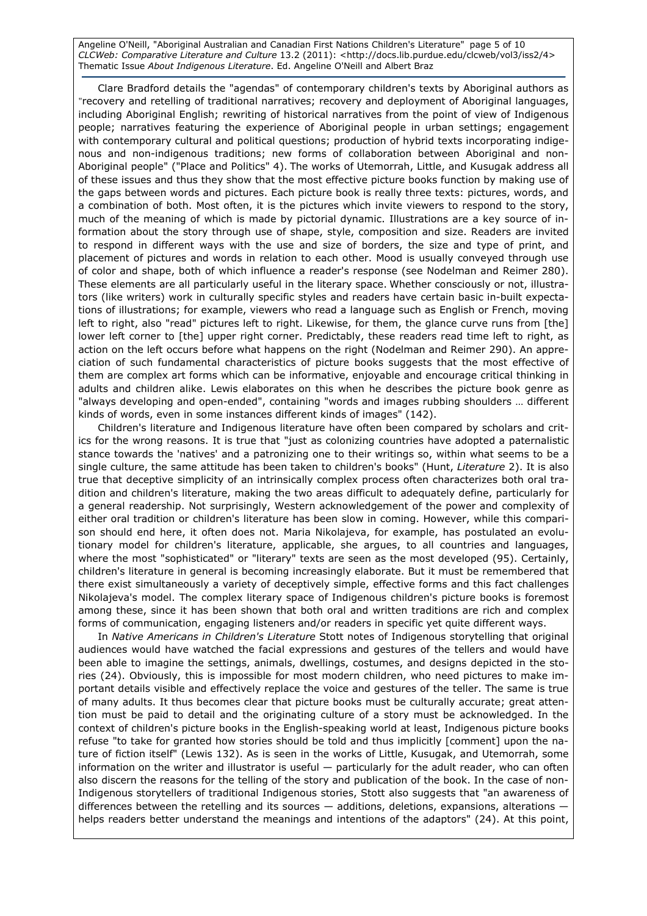Angeline O'Neill, "Aboriginal Australian and Canadian First Nations Children's Literature" page 5 of 10 CLCWeb: Comparative Literature and Culture 13.2 (2011): <http://docs.lib.purdue.edu/clcweb/vol3/iss2/4> Thematic Issue About Indigenous Literature. Ed. Angeline O'Neill and Albert Braz

Clare Bradford details the "agendas" of contemporary children's texts by Aboriginal authors as "recovery and retelling of traditional narratives; recovery and deployment of Aboriginal languages, including Aboriginal English; rewriting of historical narratives from the point of view of Indigenous people; narratives featuring the experience of Aboriginal people in urban settings; engagement with contemporary cultural and political questions; production of hybrid texts incorporating indigenous and non-indigenous traditions; new forms of collaboration between Aboriginal and non-Aboriginal people" ("Place and Politics" 4). The works of Utemorrah, Little, and Kusugak address all of these issues and thus they show that the most effective picture books function by making use of the gaps between words and pictures. Each picture book is really three texts: pictures, words, and a combination of both. Most often, it is the pictures which invite viewers to respond to the story, much of the meaning of which is made by pictorial dynamic. Illustrations are a key source of information about the story through use of shape, style, composition and size. Readers are invited to respond in different ways with the use and size of borders, the size and type of print, and placement of pictures and words in relation to each other. Mood is usually conveyed through use of color and shape, both of which influence a reader's response (see Nodelman and Reimer 280). These elements are all particularly useful in the literary space. Whether consciously or not, illustrators (like writers) work in culturally specific styles and readers have certain basic in-built expectations of illustrations; for example, viewers who read a language such as English or French, moving left to right, also "read" pictures left to right. Likewise, for them, the glance curve runs from [the] lower left corner to [the] upper right corner. Predictably, these readers read time left to right, as action on the left occurs before what happens on the right (Nodelman and Reimer 290). An appreciation of such fundamental characteristics of picture books suggests that the most effective of them are complex art forms which can be informative, enjoyable and encourage critical thinking in adults and children alike. Lewis elaborates on this when he describes the picture book genre as "always developing and open-ended", containing "words and images rubbing shoulders … different kinds of words, even in some instances different kinds of images" (142).

Children's literature and Indigenous literature have often been compared by scholars and critics for the wrong reasons. It is true that "just as colonizing countries have adopted a paternalistic stance towards the 'natives' and a patronizing one to their writings so, within what seems to be a single culture, the same attitude has been taken to children's books" (Hunt, Literature 2). It is also true that deceptive simplicity of an intrinsically complex process often characterizes both oral tradition and children's literature, making the two areas difficult to adequately define, particularly for a general readership. Not surprisingly, Western acknowledgement of the power and complexity of either oral tradition or children's literature has been slow in coming. However, while this comparison should end here, it often does not. Maria Nikolajeva, for example, has postulated an evolutionary model for children's literature, applicable, she argues, to all countries and languages, where the most "sophisticated" or "literary" texts are seen as the most developed (95). Certainly, children's literature in general is becoming increasingly elaborate. But it must be remembered that there exist simultaneously a variety of deceptively simple, effective forms and this fact challenges Nikolajeva's model. The complex literary space of Indigenous children's picture books is foremost among these, since it has been shown that both oral and written traditions are rich and complex forms of communication, engaging listeners and/or readers in specific yet quite different ways.

In Native Americans in Children's Literature Stott notes of Indigenous storytelling that original audiences would have watched the facial expressions and gestures of the tellers and would have been able to imagine the settings, animals, dwellings, costumes, and designs depicted in the stories (24). Obviously, this is impossible for most modern children, who need pictures to make important details visible and effectively replace the voice and gestures of the teller. The same is true of many adults. It thus becomes clear that picture books must be culturally accurate; great attention must be paid to detail and the originating culture of a story must be acknowledged. In the context of children's picture books in the English-speaking world at least, Indigenous picture books refuse "to take for granted how stories should be told and thus implicitly [comment] upon the nature of fiction itself" (Lewis 132). As is seen in the works of Little, Kusugak, and Utemorrah, some information on the writer and illustrator is useful — particularly for the adult reader, who can often also discern the reasons for the telling of the story and publication of the book. In the case of non-Indigenous storytellers of traditional Indigenous stories, Stott also suggests that "an awareness of differences between the retelling and its sources — additions, deletions, expansions, alterations helps readers better understand the meanings and intentions of the adaptors" (24). At this point,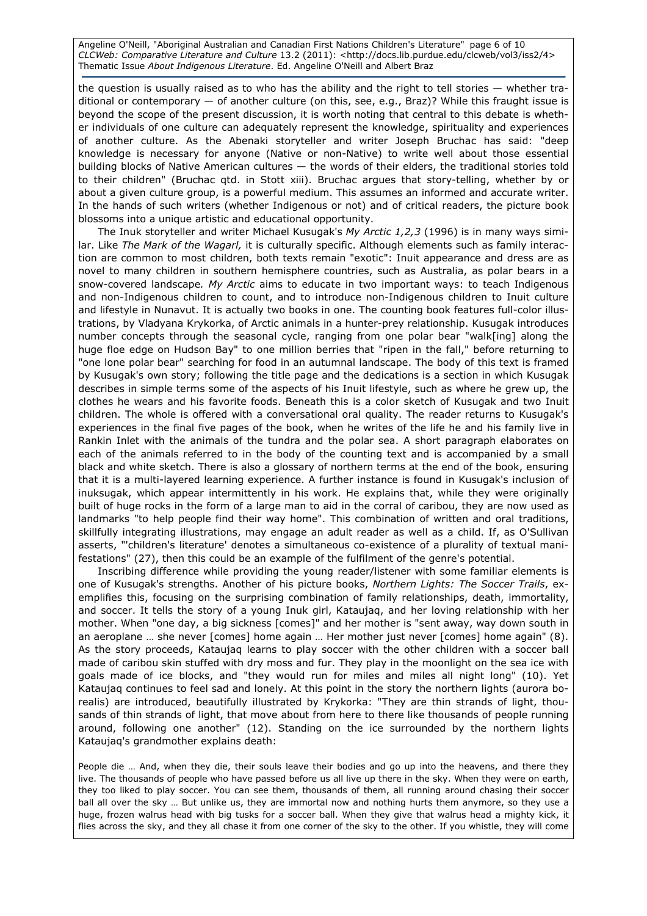Angeline O'Neill, "Aboriginal Australian and Canadian First Nations Children's Literature" page 6 of 10 CLCWeb: Comparative Literature and Culture 13.2 (2011): <http://docs.lib.purdue.edu/clcweb/vol3/iss2/4> Thematic Issue About Indigenous Literature. Ed. Angeline O'Neill and Albert Braz

the question is usually raised as to who has the ability and the right to tell stories — whether traditional or contemporary — of another culture (on this, see, e.g., Braz)? While this fraught issue is beyond the scope of the present discussion, it is worth noting that central to this debate is whether individuals of one culture can adequately represent the knowledge, spirituality and experiences of another culture. As the Abenaki storyteller and writer Joseph Bruchac has said: "deep knowledge is necessary for anyone (Native or non-Native) to write well about those essential building blocks of Native American cultures — the words of their elders, the traditional stories told to their children" (Bruchac qtd. in Stott xiii). Bruchac argues that story-telling, whether by or about a given culture group, is a powerful medium. This assumes an informed and accurate writer. In the hands of such writers (whether Indigenous or not) and of critical readers, the picture book blossoms into a unique artistic and educational opportunity.

The Inuk storyteller and writer Michael Kusugak's My Arctic  $1,2,3$  (1996) is in many ways similar. Like The Mark of the Wagarl, it is culturally specific. Although elements such as family interaction are common to most children, both texts remain "exotic": Inuit appearance and dress are as novel to many children in southern hemisphere countries, such as Australia, as polar bears in a snow-covered landscape. My Arctic aims to educate in two important ways: to teach Indigenous and non-Indigenous children to count, and to introduce non-Indigenous children to Inuit culture and lifestyle in Nunavut. It is actually two books in one. The counting book features full-color illustrations, by Vladyana Krykorka, of Arctic animals in a hunter-prey relationship. Kusugak introduces number concepts through the seasonal cycle, ranging from one polar bear "walk[ing] along the huge floe edge on Hudson Bay" to one million berries that "ripen in the fall," before returning to "one lone polar bear" searching for food in an autumnal landscape. The body of this text is framed by Kusugak's own story; following the title page and the dedications is a section in which Kusugak describes in simple terms some of the aspects of his Inuit lifestyle, such as where he grew up, the clothes he wears and his favorite foods. Beneath this is a color sketch of Kusugak and two Inuit children. The whole is offered with a conversational oral quality. The reader returns to Kusugak's experiences in the final five pages of the book, when he writes of the life he and his family live in Rankin Inlet with the animals of the tundra and the polar sea. A short paragraph elaborates on each of the animals referred to in the body of the counting text and is accompanied by a small black and white sketch. There is also a glossary of northern terms at the end of the book, ensuring that it is a multi-layered learning experience. A further instance is found in Kusugak's inclusion of inuksugak, which appear intermittently in his work. He explains that, while they were originally built of huge rocks in the form of a large man to aid in the corral of caribou, they are now used as landmarks "to help people find their way home". This combination of written and oral traditions, skillfully integrating illustrations, may engage an adult reader as well as a child. If, as O'Sullivan asserts, "'children's literature' denotes a simultaneous co-existence of a plurality of textual manifestations" (27), then this could be an example of the fulfilment of the genre's potential.

Inscribing difference while providing the young reader/listener with some familiar elements is one of Kusugak's strengths. Another of his picture books, Northern Lights: The Soccer Trails, exemplifies this, focusing on the surprising combination of family relationships, death, immortality, and soccer. It tells the story of a young Inuk girl, Kataujaq, and her loving relationship with her mother. When "one day, a big sickness [comes]" and her mother is "sent away, way down south in an aeroplane … she never [comes] home again … Her mother just never [comes] home again" (8). As the story proceeds, Kataujaq learns to play soccer with the other children with a soccer ball made of caribou skin stuffed with dry moss and fur. They play in the moonlight on the sea ice with goals made of ice blocks, and "they would run for miles and miles all night long" (10). Yet Kataujaq continues to feel sad and lonely. At this point in the story the northern lights (aurora borealis) are introduced, beautifully illustrated by Krykorka: "They are thin strands of light, thousands of thin strands of light, that move about from here to there like thousands of people running around, following one another" (12). Standing on the ice surrounded by the northern lights Kataujaq's grandmother explains death:

People die … And, when they die, their souls leave their bodies and go up into the heavens, and there they live. The thousands of people who have passed before us all live up there in the sky. When they were on earth, they too liked to play soccer. You can see them, thousands of them, all running around chasing their soccer ball all over the sky … But unlike us, they are immortal now and nothing hurts them anymore, so they use a huge, frozen walrus head with big tusks for a soccer ball. When they give that walrus head a mighty kick, it flies across the sky, and they all chase it from one corner of the sky to the other. If you whistle, they will come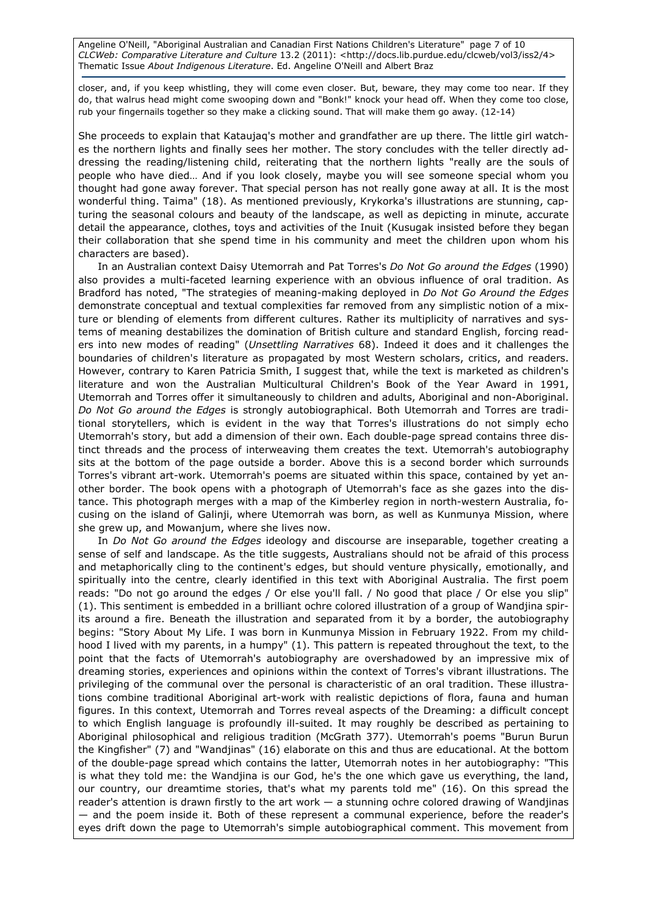Angeline O'Neill, "Aboriginal Australian and Canadian First Nations Children's Literature" page 7 of 10 CLCWeb: Comparative Literature and Culture 13.2 (2011): <http://docs.lib.purdue.edu/clcweb/vol3/iss2/4> Thematic Issue About Indigenous Literature. Ed. Angeline O'Neill and Albert Braz

closer, and, if you keep whistling, they will come even closer. But, beware, they may come too near. If they do, that walrus head might come swooping down and "Bonk!" knock your head off. When they come too close, rub your fingernails together so they make a clicking sound. That will make them go away. (12-14)

She proceeds to explain that Kataujaq's mother and grandfather are up there. The little girl watches the northern lights and finally sees her mother. The story concludes with the teller directly addressing the reading/listening child, reiterating that the northern lights "really are the souls of people who have died… And if you look closely, maybe you will see someone special whom you thought had gone away forever. That special person has not really gone away at all. It is the most wonderful thing. Taima" (18). As mentioned previously, Krykorka's illustrations are stunning, capturing the seasonal colours and beauty of the landscape, as well as depicting in minute, accurate detail the appearance, clothes, toys and activities of the Inuit (Kusugak insisted before they began their collaboration that she spend time in his community and meet the children upon whom his characters are based).

In an Australian context Daisy Utemorrah and Pat Torres's Do Not Go around the Edges (1990) also provides a multi-faceted learning experience with an obvious influence of oral tradition. As Bradford has noted, "The strategies of meaning-making deployed in Do Not Go Around the Edges demonstrate conceptual and textual complexities far removed from any simplistic notion of a mixture or blending of elements from different cultures. Rather its multiplicity of narratives and systems of meaning destabilizes the domination of British culture and standard English, forcing readers into new modes of reading" (Unsettling Narratives 68). Indeed it does and it challenges the boundaries of children's literature as propagated by most Western scholars, critics, and readers. However, contrary to Karen Patricia Smith, I suggest that, while the text is marketed as children's literature and won the Australian Multicultural Children's Book of the Year Award in 1991, Utemorrah and Torres offer it simultaneously to children and adults, Aboriginal and non-Aboriginal. Do Not Go around the Edges is strongly autobiographical. Both Utemorrah and Torres are traditional storytellers, which is evident in the way that Torres's illustrations do not simply echo Utemorrah's story, but add a dimension of their own. Each double-page spread contains three distinct threads and the process of interweaving them creates the text. Utemorrah's autobiography sits at the bottom of the page outside a border. Above this is a second border which surrounds Torres's vibrant art-work. Utemorrah's poems are situated within this space, contained by yet another border. The book opens with a photograph of Utemorrah's face as she gazes into the distance. This photograph merges with a map of the Kimberley region in north-western Australia, focusing on the island of Galinji, where Utemorrah was born, as well as Kunmunya Mission, where she grew up, and Mowanjum, where she lives now.

In Do Not Go around the Edges ideology and discourse are inseparable, together creating a sense of self and landscape. As the title suggests, Australians should not be afraid of this process and metaphorically cling to the continent's edges, but should venture physically, emotionally, and spiritually into the centre, clearly identified in this text with Aboriginal Australia. The first poem reads: "Do not go around the edges / Or else you'll fall. / No good that place / Or else you slip" (1). This sentiment is embedded in a brilliant ochre colored illustration of a group of Wandjina spirits around a fire. Beneath the illustration and separated from it by a border, the autobiography begins: "Story About My Life. I was born in Kunmunya Mission in February 1922. From my childhood I lived with my parents, in a humpy" (1). This pattern is repeated throughout the text, to the point that the facts of Utemorrah's autobiography are overshadowed by an impressive mix of dreaming stories, experiences and opinions within the context of Torres's vibrant illustrations. The privileging of the communal over the personal is characteristic of an oral tradition. These illustrations combine traditional Aboriginal art-work with realistic depictions of flora, fauna and human figures. In this context, Utemorrah and Torres reveal aspects of the Dreaming: a difficult concept to which English language is profoundly ill-suited. It may roughly be described as pertaining to Aboriginal philosophical and religious tradition (McGrath 377). Utemorrah's poems "Burun Burun the Kingfisher" (7) and "Wandjinas" (16) elaborate on this and thus are educational. At the bottom of the double-page spread which contains the latter, Utemorrah notes in her autobiography: "This is what they told me: the Wandjina is our God, he's the one which gave us everything, the land, our country, our dreamtime stories, that's what my parents told me" (16). On this spread the reader's attention is drawn firstly to the art work — a stunning ochre colored drawing of Wandjinas — and the poem inside it. Both of these represent a communal experience, before the reader's eyes drift down the page to Utemorrah's simple autobiographical comment. This movement from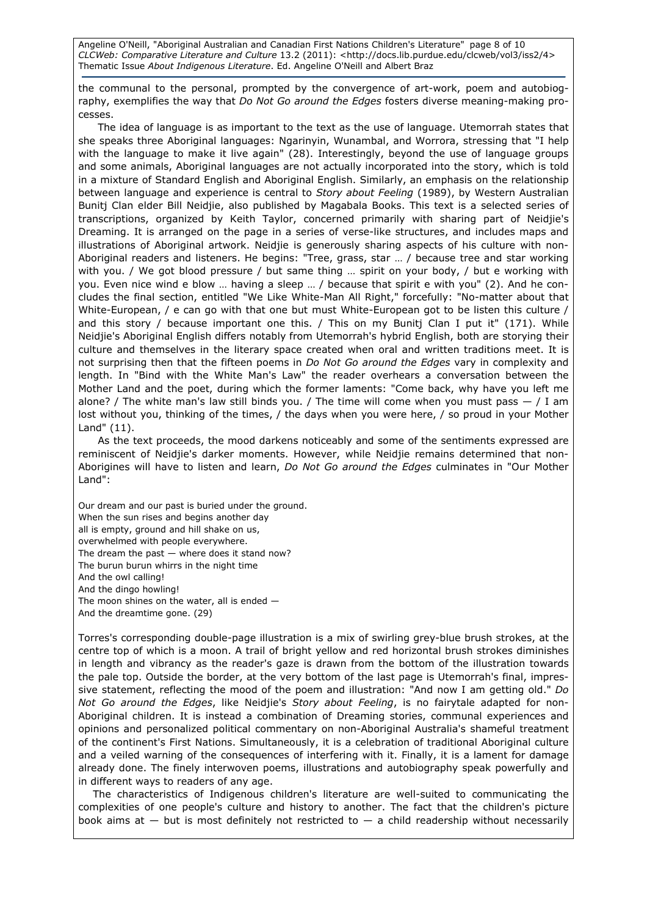Angeline O'Neill, "Aboriginal Australian and Canadian First Nations Children's Literature" page 8 of 10 CLCWeb: Comparative Literature and Culture 13.2 (2011): <http://docs.lib.purdue.edu/clcweb/vol3/iss2/4> Thematic Issue About Indigenous Literature. Ed. Angeline O'Neill and Albert Braz

the communal to the personal, prompted by the convergence of art-work, poem and autobiography, exemplifies the way that Do Not Go around the Edges fosters diverse meaning-making processes.

The idea of language is as important to the text as the use of language. Utemorrah states that she speaks three Aboriginal languages: Ngarinyin, Wunambal, and Worrora, stressing that "I help with the language to make it live again" (28). Interestingly, beyond the use of language groups and some animals, Aboriginal languages are not actually incorporated into the story, which is told in a mixture of Standard English and Aboriginal English. Similarly, an emphasis on the relationship between language and experience is central to Story about Feeling (1989), by Western Australian Bunitj Clan elder Bill Neidjie, also published by Magabala Books. This text is a selected series of transcriptions, organized by Keith Taylor, concerned primarily with sharing part of Neidjie's Dreaming. It is arranged on the page in a series of verse-like structures, and includes maps and illustrations of Aboriginal artwork. Neidjie is generously sharing aspects of his culture with non-Aboriginal readers and listeners. He begins: "Tree, grass, star … / because tree and star working with you. / We got blood pressure / but same thing ... spirit on your body, / but e working with you. Even nice wind e blow … having a sleep … / because that spirit e with you" (2). And he concludes the final section, entitled "We Like White-Man All Right," forcefully: "No-matter about that White-European, / e can go with that one but must White-European got to be listen this culture / and this story / because important one this. / This on my Bunitj Clan I put it"  $(171)$ . While Neidjie's Aboriginal English differs notably from Utemorrah's hybrid English, both are storying their culture and themselves in the literary space created when oral and written traditions meet. It is not surprising then that the fifteen poems in Do Not Go around the Edges vary in complexity and length. In "Bind with the White Man's Law" the reader overhears a conversation between the Mother Land and the poet, during which the former laments: "Come back, why have you left me alone? / The white man's law still binds you. / The time will come when you must pass  $-$  / I am lost without you, thinking of the times, / the days when you were here, / so proud in your Mother Land" (11).

As the text proceeds, the mood darkens noticeably and some of the sentiments expressed are reminiscent of Neidjie's darker moments. However, while Neidjie remains determined that non-Aborigines will have to listen and learn, Do Not Go around the Edges culminates in "Our Mother Land":

Our dream and our past is buried under the ground. When the sun rises and begins another day all is empty, ground and hill shake on us, overwhelmed with people everywhere. The dream the past  $-$  where does it stand now? The burun burun whirrs in the night time And the owl calling! And the dingo howling! The moon shines on the water, all is ended — And the dreamtime gone. (29)

Torres's corresponding double-page illustration is a mix of swirling grey-blue brush strokes, at the centre top of which is a moon. A trail of bright yellow and red horizontal brush strokes diminishes in length and vibrancy as the reader's gaze is drawn from the bottom of the illustration towards the pale top. Outside the border, at the very bottom of the last page is Utemorrah's final, impressive statement, reflecting the mood of the poem and illustration: "And now I am getting old." Do Not Go around the Edges, like Neidjie's Story about Feeling, is no fairytale adapted for non-Aboriginal children. It is instead a combination of Dreaming stories, communal experiences and opinions and personalized political commentary on non-Aboriginal Australia's shameful treatment of the continent's First Nations. Simultaneously, it is a celebration of traditional Aboriginal culture and a veiled warning of the consequences of interfering with it. Finally, it is a lament for damage already done. The finely interwoven poems, illustrations and autobiography speak powerfully and in different ways to readers of any age.

The characteristics of Indigenous children's literature are well-suited to communicating the complexities of one people's culture and history to another. The fact that the children's picture book aims at  $-$  but is most definitely not restricted to  $-$  a child readership without necessarily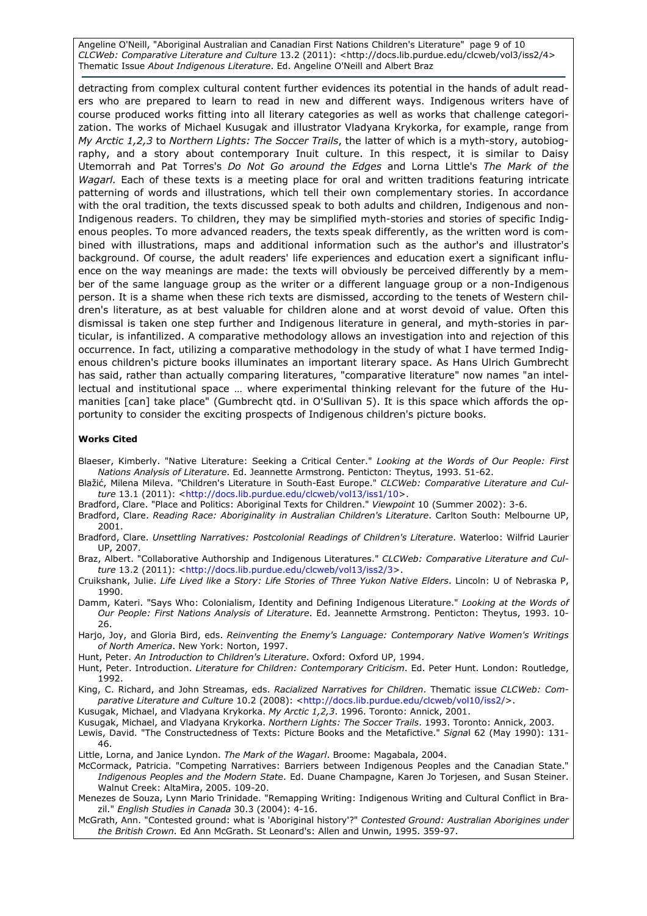Angeline O'Neill, "Aboriginal Australian and Canadian First Nations Children's Literature" page 9 of 10 CLCWeb: Comparative Literature and Culture 13.2 (2011): <http://docs.lib.purdue.edu/clcweb/vol3/iss2/4> Thematic Issue About Indigenous Literature. Ed. Angeline O'Neill and Albert Braz

detracting from complex cultural content further evidences its potential in the hands of adult readers who are prepared to learn to read in new and different ways. Indigenous writers have of course produced works fitting into all literary categories as well as works that challenge categorization. The works of Michael Kusugak and illustrator Vladyana Krykorka, for example, range from My Arctic 1,2,3 to Northern Lights: The Soccer Trails, the latter of which is a myth-story, autobiography, and a story about contemporary Inuit culture. In this respect, it is similar to Daisy Utemorrah and Pat Torres's Do Not Go around the Edges and Lorna Little's The Mark of the Wagarl. Each of these texts is a meeting place for oral and written traditions featuring intricate patterning of words and illustrations, which tell their own complementary stories. In accordance with the oral tradition, the texts discussed speak to both adults and children, Indigenous and non-Indigenous readers. To children, they may be simplified myth-stories and stories of specific Indigenous peoples. To more advanced readers, the texts speak differently, as the written word is combined with illustrations, maps and additional information such as the author's and illustrator's background. Of course, the adult readers' life experiences and education exert a significant influence on the way meanings are made: the texts will obviously be perceived differently by a member of the same language group as the writer or a different language group or a non-Indigenous person. It is a shame when these rich texts are dismissed, according to the tenets of Western children's literature, as at best valuable for children alone and at worst devoid of value. Often this dismissal is taken one step further and Indigenous literature in general, and myth-stories in particular, is infantilized. A comparative methodology allows an investigation into and rejection of this occurrence. In fact, utilizing a comparative methodology in the study of what I have termed Indigenous children's picture books illuminates an important literary space. As Hans Ulrich Gumbrecht has said, rather than actually comparing literatures, "comparative literature" now names "an intellectual and institutional space … where experimental thinking relevant for the future of the Humanities [can] take place" (Gumbrecht qtd. in O'Sullivan 5). It is this space which affords the opportunity to consider the exciting prospects of Indigenous children's picture books.

#### Works Cited

Blaeser, Kimberly. "Native Literature: Seeking a Critical Center." Looking at the Words of Our People: First Nations Analysis of Literature. Ed. Jeannette Armstrong. Penticton: Theytus, 1993. 51-62.

- Blažić, Milena Mileva. "Children's Literature in South-East Europe." CLCWeb: Comparative Literature and Culture 13.1 (2011): <http://docs.lib.purdue.edu/clcweb/vol13/iss1/10>.
- Bradford, Clare. "Place and Politics: Aboriginal Texts for Children." Viewpoint 10 (Summer 2002): 3-6.
- Bradford, Clare. Reading Race: Aboriginality in Australian Children's Literature. Carlton South: Melbourne UP, 2001.
- Bradford, Clare. Unsettling Narratives: Postcolonial Readings of Children's Literature. Waterloo: Wilfrid Laurier UP, 2007.

Braz, Albert. "Collaborative Authorship and Indigenous Literatures." CLCWeb: Comparative Literature and Culture 13.2 (2011): <http://docs.lib.purdue.edu/clcweb/vol13/iss2/3>.

- Cruikshank, Julie. Life Lived like a Story: Life Stories of Three Yukon Native Elders. Lincoln: U of Nebraska P, 1990.
- Damm, Kateri. "Says Who: Colonialism, Identity and Defining Indigenous Literature." Looking at the Words of Our People: First Nations Analysis of Literature. Ed. Jeannette Armstrong. Penticton: Theytus, 1993. 10- 26.
- Harjo, Joy, and Gloria Bird, eds. Reinventing the Enemy's Language: Contemporary Native Women's Writings of North America. New York: Norton, 1997.
- Hunt, Peter. An Introduction to Children's Literature. Oxford: Oxford UP, 1994.
- Hunt, Peter. Introduction. Literature for Children: Contemporary Criticism. Ed. Peter Hunt. London: Routledge, 1992.

King, C. Richard, and John Streamas, eds. Racialized Narratives for Children. Thematic issue CLCWeb: Comparative Literature and Culture 10.2 (2008): <http://docs.lib.purdue.edu/clcweb/vol10/iss2/>.

Kusugak, Michael, and Vladyana Krykorka. My Arctic 1,2,3. 1996. Toronto: Annick, 2001.

- Kusugak, Michael, and Vladyana Krykorka. Northern Lights: The Soccer Trails. 1993. Toronto: Annick, 2003. Lewis, David. "The Constructedness of Texts: Picture Books and the Metafictive." Signal 62 (May 1990): 131-46.
- Little, Lorna, and Janice Lyndon. The Mark of the Wagarl. Broome: Magabala, 2004.

McCormack, Patricia. "Competing Narratives: Barriers between Indigenous Peoples and the Canadian State." Indigenous Peoples and the Modern State. Ed. Duane Champagne, Karen Jo Torjesen, and Susan Steiner. Walnut Creek: AltaMira, 2005. 109-20.

Menezes de Souza, Lynn Mario Trinidade. "Remapping Writing: Indigenous Writing and Cultural Conflict in Brazil." English Studies in Canada 30.3 (2004): 4-16.

McGrath, Ann. "Contested ground: what is 'Aboriginal history'?" Contested Ground: Australian Aborigines under the British Crown. Ed Ann McGrath. St Leonard's: Allen and Unwin, 1995. 359-97.